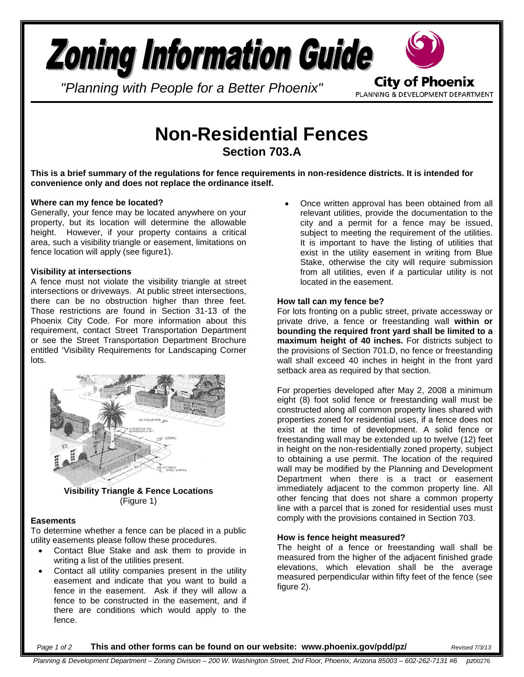

*"Planning with People for a Better Phoenix"*

PLANNING & DEVELOPMENT DEPARTMENT

# **Non-Residential Fences Section 703.A**

**This is a brief summary of the regulations for fence requirements in non-residence districts. It is intended for convenience only and does not replace the ordinance itself.** 

#### **Where can my fence be located?**

Generally, your fence may be located anywhere on your property, but its location will determine the allowable height. However, if your property contains a critical area, such a visibility triangle or easement, limitations on fence location will apply (see figure1).

#### **Visibility at intersections**

A fence must not violate the visibility triangle at street intersections or driveways. At public street intersections, there can be no obstruction higher than three feet. Those restrictions are found in Section 31-13 of the Phoenix City Code. For more information about this requirement, contact Street Transportation Department or see the Street Transportation Department Brochure entitled 'Visibility Requirements for Landscaping Corner lots.



**Visibility Triangle & Fence Locations** (Figure 1)

#### **Easements**

To determine whether a fence can be placed in a public utility easements please follow these procedures.

- Contact Blue Stake and ask them to provide in writing a list of the utilities present.
- Contact all utility companies present in the utility easement and indicate that you want to build a fence in the easement. Ask if they will allow a fence to be constructed in the easement, and if there are conditions which would apply to the fence.

• Once written approval has been obtained from all relevant utilities, provide the documentation to the city and a permit for a fence may be issued, subject to meeting the requirement of the utilities. It is important to have the listing of utilities that exist in the utility easement in writing from Blue Stake, otherwise the city will require submission from all utilities, even if a particular utility is not located in the easement.

#### **How tall can my fence be?**

For lots fronting on a public street, private accessway or private drive, a fence or freestanding wall **within or bounding the required front yard shall be limited to a maximum height of 40 inches.** For districts subject to the provisions of Section 701.D, no fence or freestanding wall shall exceed 40 inches in height in the front yard setback area as required by that section.

For properties developed after May 2, 2008 a minimum eight (8) foot solid fence or freestanding wall must be constructed along all common property lines shared with properties zoned for residential uses, if a fence does not exist at the time of development. A solid fence or freestanding wall may be extended up to twelve (12) feet in height on the non-residentially zoned property, subject to obtaining a use permit. The location of the required wall may be modified by the Planning and Development Department when there is a tract or easement immediately adjacent to the common property line. All other fencing that does not share a common property line with a parcel that is zoned for residential uses must comply with the provisions contained in Section 703.

### **How is fence height measured?**

The height of a fence or freestanding wall shall be measured from the higher of the adjacent finished grade elevations, which elevation shall be the average measured perpendicular within fifty feet of the fence (see figure 2).

*Page 1 of 2* **This and other forms can be found on our website: www.phoenix.gov/pdd/pz/** *Revised 7/3/13*